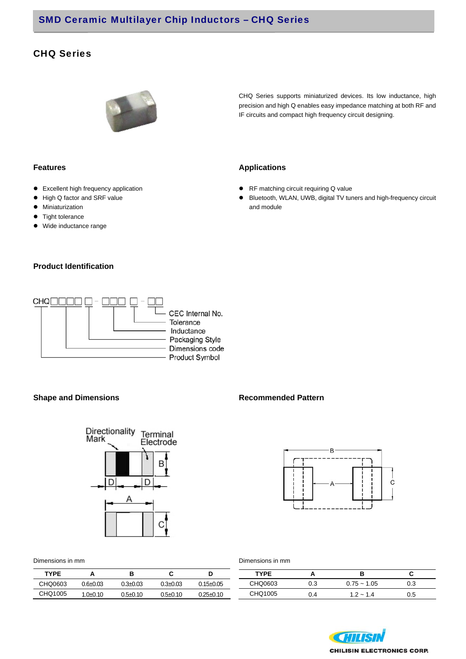## CHQ Series



CHQ Series supports miniaturized devices. Its low inductance, high precision and high Q enables easy impedance matching at both RF and IF circuits and compact high frequency circuit designing.

- Excellent high frequency application
- $\bullet$  High Q factor and SRF value
- **•** Miniaturization
- $\bullet$  Tight tolerance
- Wide inductance range

### **Product Identification**



**Shape and Dimensions Recommended Pattern** 



Dimensions in mm

| <b>TYPE</b> | А            | В              | C          | IJ              |
|-------------|--------------|----------------|------------|-----------------|
| CHO0603     | $0.6 + 0.03$ | $0.3 + 0.03$   | 0.3+0.03   | $0.15 \pm 0.05$ |
| CHQ1005     | $1.0 + 0.10$ | $0.5 \pm 0.10$ | $0.5+0.10$ | $0.25 \pm 0.10$ |

#### **Features Applications**

- RF matching circuit requiring Q value
- Bluetooth, WLAN, UWB, digital TV tuners and high-frequency circuit and module



Dimensions in mm

| <b>TYPE</b> |     |               |     |
|-------------|-----|---------------|-----|
| CHQ0603     | 0.3 | $0.75 - 1.05$ | 0.3 |
| CHQ1005     | 14  | $1.2 - 1.4$   | 0.5 |

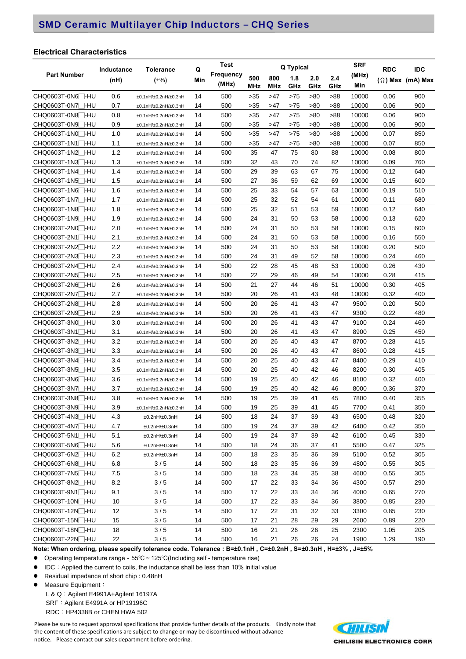#### **Electrical Characteristics**

|                               |            | <b>Tolerance</b>     |     | <b>Test</b><br>Q |        | Q Typical |     |     |     | <b>SRF</b> | <b>RDC</b> | <b>IDC</b>              |
|-------------------------------|------------|----------------------|-----|------------------|--------|-----------|-----|-----|-----|------------|------------|-------------------------|
| <b>Part Number</b>            | Inductance |                      |     | Frequency        | 500    | 800       | 1.8 | 2.0 | 2.4 | (MHz)      |            |                         |
|                               | (nH)       | $(\pm\%)$            | Min | (MHz)            | MHz    | MHz       | GHz | GHz | GHz | Min        |            | $(\Omega)$ Max (mA) Max |
| CHQ0603T-0N6 <sup>-1</sup> HU | 0.6        | ±0.1nH/±0.2nH/±0.3nH | 14  | 500              | >35    | >47       | >75 | >80 | >88 | 10000      | 0.06       | 900                     |
| CHQ0603T-0N7 - HU             | 0.7        | ±0.1nH/±0.2nH/±0.3nH | 14  | 500              | >35    | >47       | >75 | >80 | >88 | 10000      | 0.06       | 900                     |
| CHQ0603T-0N8□-HU              | 0.8        | ±0.1nH/±0.2nH/±0.3nH | 14  | 500              | >35    | >47       | >75 | >80 | >88 | 10000      | 0.06       | 900                     |
| CHQ0603T-0N9 -HU              | 0.9        | ±0.1nH/±0.2nH/±0.3nH | 14  | 500              | >35    | >47       | >75 | >80 | >88 | 10000      | 0.06       | 900                     |
| CHQ0603T-1N0□-HU              | 1.0        | ±0.1nH/±0.2nH/±0.3nH | 14  | 500              | >35    | >47       | >75 | >80 | >88 | 10000      | 0.07       | 850                     |
| CHQ0603T-1N1□-HU              | 1.1        | ±0.1nH/±0.2nH/±0.3nH | 14  | 500              | >35    | >47       | >75 | >80 | >88 | 10000      | 0.07       | 850                     |
| CHQ0603T-1N2□-HU              | 1.2        | ±0.1nH/±0.2nH/±0.3nH | 14  | 500              | 35     | 47        | 75  | 80  | 88  | 10000      | 0.08       | 800                     |
| CHQ0603T-1N3 -HU              | 1.3        | ±0.1nH/±0.2nH/±0.3nH | 14  | 500              | 32     | 43        | 70  | 74  | 82  | 10000      | 0.09       | 760                     |
| CHQ0603T-1N4□-HU              | 1.4        | ±0.1nH/±0.2nH/±0.3nH | 14  | 500              | 29     | 39        | 63  | 67  | 75  | 10000      | 0.12       | 640                     |
| CHQ0603T-1N5 -HU              | 1.5        | ±0.1nH/±0.2nH/±0.3nH | 14  | 500              | 27     | 36        | 59  | 62  | 69  | 10000      | 0.15       | 600                     |
| CHQ0603T-1N6□-HU              | 1.6        | ±0.1nH/±0.2nH/±0.3nH | 14  | 500              | 25     | 33        | 54  | 57  | 63  | 10000      | 0.19       | 510                     |
| CHQ0603T-1N7 -HU              | 1.7        | ±0.1nH/±0.2nH/±0.3nH | 14  | 500              | 25     | 32        | 52  | 54  | 61  | 10000      | 0.11       | 680                     |
| CHQ0603T-1N8□-HU              | 1.8        | ±0.1nH/±0.2nH/±0.3nH | 14  | 500              | 25     | 32        | 51  | 53  | 59  | 10000      | 0.12       | 640                     |
| CHQ0603T-1N9□-HU              | 1.9        | ±0.1nH/±0.2nH/±0.3nH | 14  | 500              | 24     | 31        | 50  | 53  | 58  | 10000      | 0.13       | 620                     |
| CHQ0603T-2N0□-HU              | 2.0        | ±0.1nH/±0.2nH/±0.3nH | 14  | 500              | 24     | 31        | 50  | 53  | 58  | 10000      | 0.15       | 600                     |
| CHQ0603T-2N1∏-HU              | 2.1        | ±0.1nH/±0.2nH/±0.3nH | 14  | 500              | 24     | 31        | 50  | 53  | 58  | 10000      | 0.16       | 550                     |
| CHQ0603T-2N2□-HU              | 2.2        | ±0.1nH/±0.2nH/±0.3nH | 14  | 500              | 24     | 31        | 50  | 53  | 58  | 10000      | 0.20       | 500                     |
| CHQ0603T-2N3□-HU              | 2.3        | ±0.1nH/±0.2nH/±0.3nH | 14  | 500              | 24     | 31        | 49  | 52  | 58  | 10000      | 0.24       | 460                     |
| CHQ0603T-2N4□-HU              | 2.4        | ±0.1nH/±0.2nH/±0.3nH | 14  | 500              | 22     | 28        | 45  | 48  | 53  | 10000      | 0.26       | 430                     |
| CHQ0603T-2N5□-HU              | 2.5        | ±0.1nH/±0.2nH/±0.3nH | 14  | 500              | 22     | 29        | 46  | 49  | 54  | 10000      | 0.28       | 415                     |
| CHQ0603T-2N6□-HU              | 2.6        | ±0.1nH/±0.2nH/±0.3nH | 14  | 500              | 21     | 27        | 44  | 46  | 51  | 10000      | 0.30       | 405                     |
| CHQ0603T-2N7□-HU              | 2.7        | ±0.1nH/±0.2nH/±0.3nH | 14  | 500              | 20     | 26        | 41  | 43  | 48  | 10000      | 0.32       | 400                     |
| CHQ0603T-2N8□-HU              | 2.8        | ±0.1nH/±0.2nH/±0.3nH | 14  | 500              | 20     | 26        | 41  | 43  | 47  | 9500       | 0.20       | 500                     |
| CHQ0603T-2N9□-HU              | 2.9        | ±0.1nH/±0.2nH/±0.3nH | 14  | 500              | 20     | 26        | 41  | 43  | 47  | 9300       | 0.22       | 480                     |
| CHQ0603T-3N0□-HU              | 3.0        | ±0.1nH/±0.2nH/±0.3nH | 14  | 500              | 20     | 26        | 41  | 43  | 47  | 9100       | 0.24       | 460                     |
| CHQ0603T-3N1∏-HU              | 3.1        | ±0.1nH/±0.2nH/±0.3nH | 14  | 500              | 20     | 26        | 41  | 43  | 47  | 8900       | 0.25       | 450                     |
| CHQ0603T-3N2□-HU              | 3.2        | ±0.1nH/±0.2nH/±0.3nH | 14  | 500              | 20     | 26        | 40  | 43  | 47  | 8700       | 0.28       | 415                     |
| CHQ0603T-3N3□-HU              | 3.3        | ±0.1nH/±0.2nH/±0.3nH | 14  | 500              | 20     | 26        | 40  | 43  | 47  | 8600       | 0.28       | 415                     |
| CHQ0603T-3N4□-HU              | 3.4        | ±0.1nH/±0.2nH/±0.3nH | 14  | 500              | 20     | 25        | 40  | 43  | 47  | 8400       | 0.29       | 410                     |
| CHQ0603T-3N5□-HU              | 3.5        | ±0.1nH/±0.2nH/±0.3nH | 14  | 500              | 20     | 25        | 40  | 42  | 46  | 8200       | 0.30       | 405                     |
| CHQ0603T-3N6□-HU              | 3.6        | ±0.1nH/±0.2nH/±0.3nH | 14  | 500              | 19     | 25        | 40  | 42  | 46  | 8100       | 0.32       | 400                     |
| CHQ0603T-3N7 -HU              | 3.7        | ±0.1nH/±0.2nH/±0.3nH | 14  | 500              | 19     | 25        | 40  | 42  | 46  | 8000       | 0.36       | 370                     |
| CHQ0603T-3N8□-HU              | 3.8        | ±0.1nH/±0.2nH/±0.3nH | 14  | 500              | 19     | 25        | 39  | 41  | 45  | 7800       | 0.40       | 355                     |
| CHQ0603T-3N9∏-HU              | 3.9        | ±0.1nH/±0.2nH/±0.3nH | 14  | 500              | 19     | 25        | 39  | 41  | 45  | 7700       | 0.41       | 350                     |
| CHQ0603T-4N3 <sup>-1</sup> HU | 4.3        | ±0.2nH/±0.3nH        | 14  | 500              | 18     | 24        | 37  | 39  | 43  | 6500       | 0.48       | 320                     |
| CHQ0603T-4N7 <sup>-1</sup> HU | 4.7        | ±0.2nH/±0.3nH        | 14  | 500              | 19     | 24        | 37  | 39  | 42  | 6400       | 0.42       | 350                     |
| CHQ0603T-5N1□-HU              | 5.1        | ±0.2nH/±0.3nH        | 14  | 500              | 19     | 24        | 37  | 39  | 42  | 6100       | 0.45       | 330                     |
| CHQ0603T-5N6 <sup>-1</sup> HU | 5.6        | ±0.2nH/±0.3nH        | 14  | 500              | 18     | 24        | 36  | 37  | 41  | 5500       | 0.47       | 325                     |
| CHQ0603T-6N2 <sup>-</sup> HU  | 6.2        | ±0.2nH/±0.3nH        | 14  | 500              | 18     | 23        | 35  | 36  | 39  | 5100       | 0.52       | 305                     |
| CHQ0603T-6N8 <sup>-1</sup> HU | 6.8        | 3/5                  | 14  | 500              | 18     | 23        | 35  | 36  | 39  | 4800       | 0.55       | 305                     |
| CHQ0603T-7N5 <sup>-1</sup> HU | 7.5        | 3/5                  | 14  | 500              | 18     | 23        | 34  | 35  | 38  | 4600       | 0.55       | 305                     |
| CHQ0603T-8N2 <sup>-</sup> HU  | 8.2        | 3/5                  | 14  | 500              | 17     | 22        | 33  | 34  | 36  | 4300       | 0.57       | 290                     |
| CHQ0603T-9N1 <sup>-</sup> HU  | 9.1        | $3/5$                | 14  | 500              | 17     | 22        | 33  | 34  | 36  | 4000       | 0.65       | 270                     |
| CHQ0603T-10N□-HU              | 10         | 3/5                  | 14  | 500              | 17     | 22        | 33  | 34  | 36  | 3800       | 0.85       | 230                     |
| CHQ0603T-12N <sup>-</sup> HU  | 12         | $3/5$                | 14  | 500              | 17     | 22        | 31  | 32  | 33  | 3300       | 0.85       | 230                     |
| CHQ0603T-15N□-HU              | 15         | 3/5                  | 14  | 500              | 17     | 21        | 28  | 29  | 29  | 2600       | 0.89       | 220                     |
| CHQ0603T-18N <sup>-1</sup> HU | 18         | 3/5                  | 14  | 500              | 16     | 21        | 26  | 26  | 25  | 2300       | 1.05       | 205                     |
| CHQ0603T-22N <sup>-1</sup> HU | 22         | $3/5$                | 14  | 500              | $16\,$ | 21        | 26  | 26  | 24  | 1900       | 1.29       | 190                     |

**Note: When ordering, please specify tolerance code. Tolerance : B=±0.1nH , C=±0.2nH , S=±0.3nH , H=±3% , J=±5%** 

Operating temperature range-55℃~125℃(Including self - temperature rise)

● IDC: Applied the current to coils, the inductance shall be less than 10% initial value

- Residual impedance of short chip : 0.48nH
- Measure Equipment:

L & Q: Agilent E4991A+Agilent 16197A SRF: Agilent E4991A or HP19196C RDC:HP4338B or CHEN HWA 502

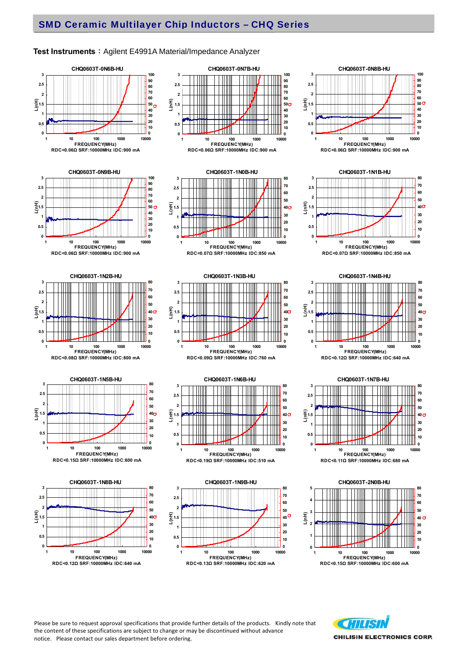#### **Test Instruments**: Agilent E4991A Material/Impedance Analyzer



Please be sure to request approval specifications that provide further details of the products. Kindly note that the content of these specifications are subject to change or may be discontinued without advance notice. Please contact our sales department before ordering.



**CHILISIN ELECTRONICS CORP.**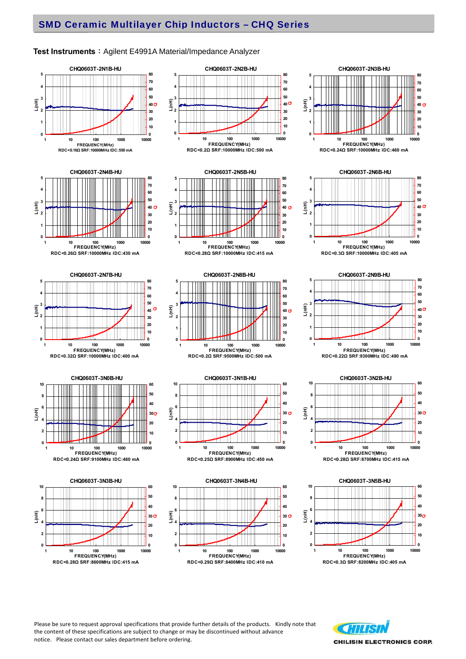#### **Test Instruments**: Agilent E4991A Material/Impedance Analyzer





 









**CHQ0603T-2N3B-HU**

 







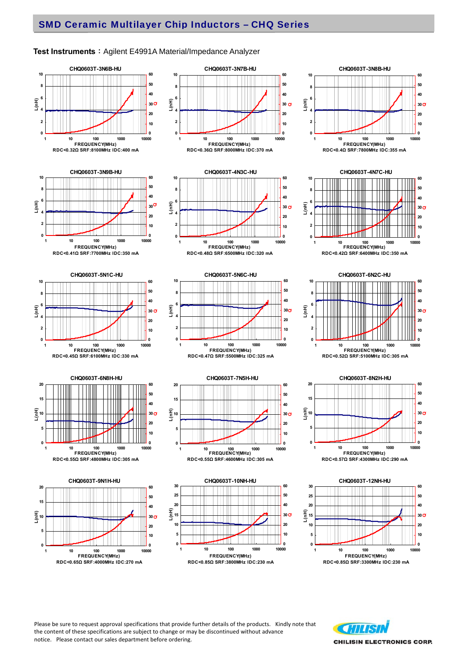#### **Test Instruments**: Agilent E4991A Material/Impedance Analyzer



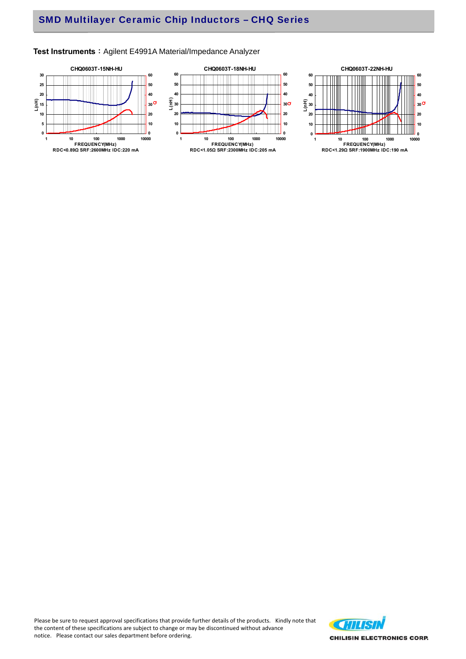# SMD Multilayer Ceramic Chip Inductors – CHQ Series

#### Test Instruments : Agilent E4991A Material/Impedance Analyzer



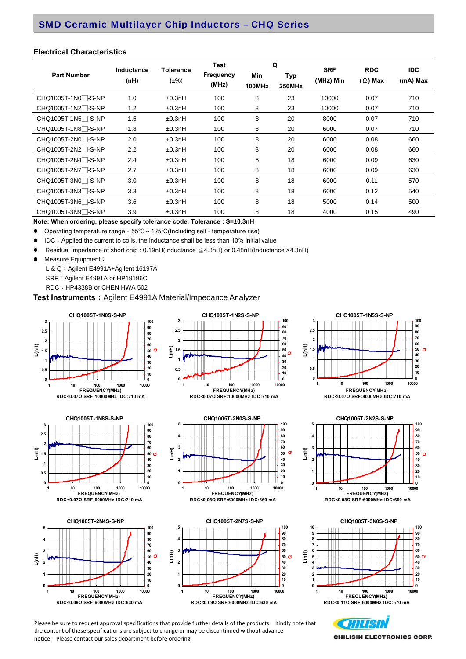#### **Electrical Characteristics**

| <b>Part Number</b>              | Inductance<br>(nH) | <b>Tolerance</b><br>$(\pm\%)$ | <b>Test</b><br><b>Frequency</b><br>(MHz) | Min<br>100MHz | Q<br>Typ<br><b>250MHz</b> | <b>SRF</b><br>(MHz) Min | <b>RDC</b><br>$(\Omega)$ Max | <b>IDC</b><br>(mA) Max |
|---------------------------------|--------------------|-------------------------------|------------------------------------------|---------------|---------------------------|-------------------------|------------------------------|------------------------|
| CHQ1005T-1N0 <sup>-</sup> S-NP  | 1.0                | ±0.3nH                        | 100                                      | 8             | 23                        | 10000                   | 0.07                         | 710                    |
| CHQ1005T-1N2 <sup>-</sup> S-NP  | 1.2                | ±0.3nH                        | 100                                      | 8             | 23                        | 10000                   | 0.07                         | 710                    |
| CHQ1005T-1N5 <sup>-</sup> S-NP  | 1.5                | ±0.3nH                        | 100                                      | 8             | 20                        | 8000                    | 0.07                         | 710                    |
| CHQ1005T-1N8 <sup>-</sup> -S-NP | 1.8                | ±0.3nH                        | 100                                      | 8             | 20                        | 6000                    | 0.07                         | 710                    |
| CHQ1005T-2N0 <sup>-</sup> S-NP  | 2.0                | ±0.3nH                        | 100                                      | 8             | 20                        | 6000                    | 0.08                         | 660                    |
| CHQ1005T-2N2 <sup>-</sup> -S-NP | $2.2\phantom{0}$   | ±0.3nH                        | 100                                      | 8             | 20                        | 6000                    | 0.08                         | 660                    |
| CHQ1005T-2N4□-S-NP              | 2.4                | ±0.3nH                        | 100                                      | 8             | 18                        | 6000                    | 0.09                         | 630                    |
| CHQ1005T-2N7 <sup>-</sup> -S-NP | 2.7                | ±0.3nH                        | 100                                      | 8             | 18                        | 6000                    | 0.09                         | 630                    |
| CHQ1005T-3N0□-S-NP              | 3.0                | ±0.3nH                        | 100                                      | 8             | 18                        | 6000                    | 0.11                         | 570                    |
| CHQ1005T-3N3 <sup>-</sup> S-NP  | 3.3                | ±0.3nH                        | 100                                      | 8             | 18                        | 6000                    | 0.12                         | 540                    |
| CHQ1005T-3N6□-S-NP              | 3.6                | ±0.3nH                        | 100                                      | 8             | 18                        | 5000                    | 0.14                         | 500                    |
| CHQ1005T-3N9 <sup>-</sup> -S-NP | 3.9                | ±0.3nH                        | 100                                      | 8             | 18                        | 4000                    | 0.15                         | 490                    |

**Note: When ordering, please specify tolerance code. Tolerance : S=±0.3nH** 

Operating temperature range-55℃~125℃(Including self - temperature rise)

● IDC: Applied the current to coils, the inductance shall be less than 10% initial value

Residual impedance of short chip : 0.19nH(Inductance ≦4.3nH) or 0.48nH(Inductance >4.3nH)

**3**

**L(nH)**

• Measure Equipment:

L & Q: Agilent E4991A+Agilent 16197A SRF: Agilent E4991A or HP19196C RDC:HP4338B or CHEN HWA 502

**Test Instruments**: Agilent E4991A Material/Impedance Analyzer





**CHQ1005T-2N0S-S-NP**

**1 10 100 1000 10000 FREQUENCY(MHz) RDC<0.08Ω SRF:6000MHz IDC:660 mA**

**CHQ1005T-1N2S-S-NP**

**100**

**Q**







#### **CHQ1005T-1N8S-S-NP 3 100 90 2.5 80 70 2** Ш **60 L(nH) 1.5 50 Q40 1 30 20 0.5 10 0 0 1 10 100 1000 10000 FREQUENCY(MHz) RDC<0.07Ω SRF:6000MHz IDC:710 mA**





Please be sure to request approval specifications that provide further details of the products. Kindly note that the content of these specifications are subject to change or may be discontinued without advance notice. Please contact our sales department before ordering.



**CHILISIN ELECTRONICS CORP.**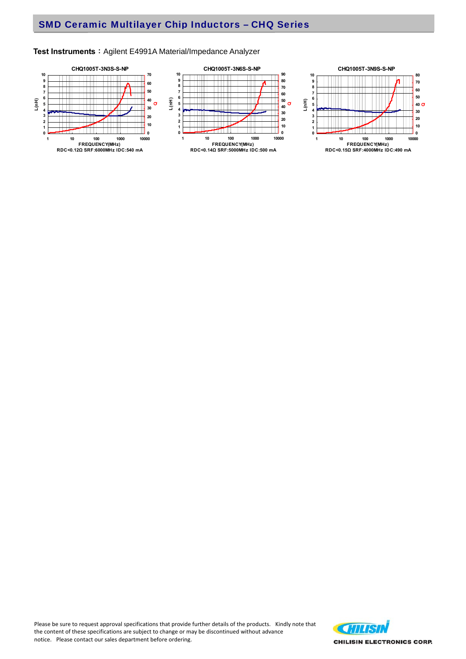#### Test Instruments : Agilent E4991A Material/Impedance Analyzer